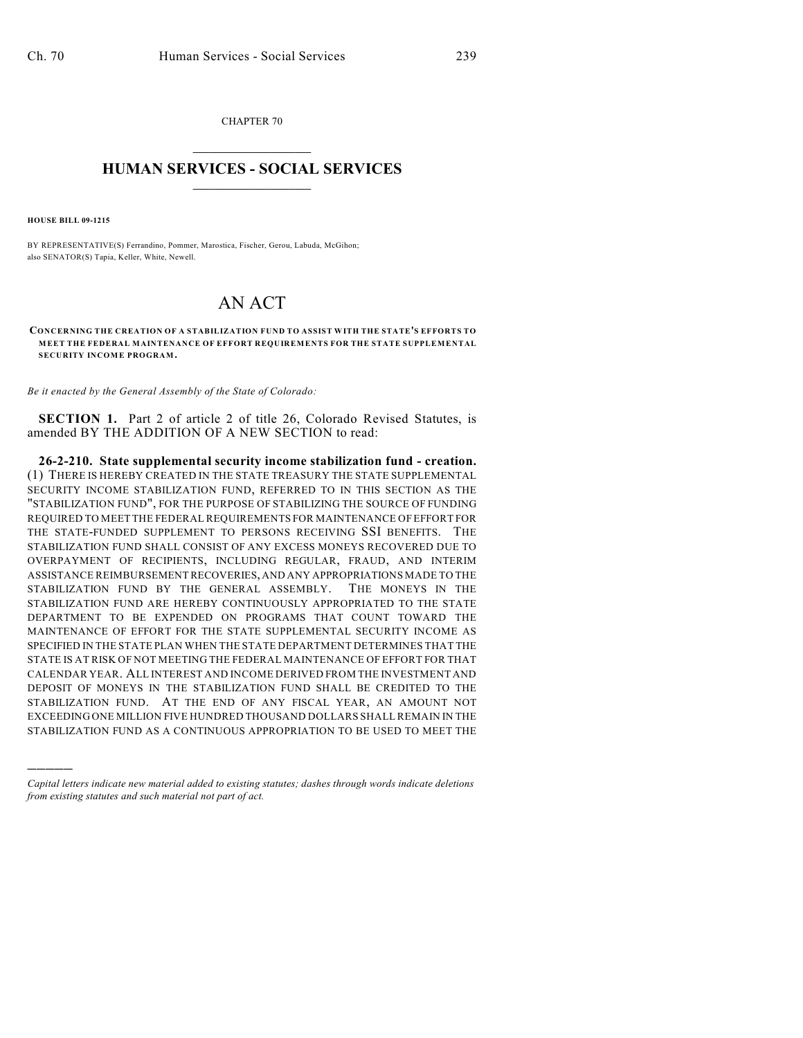CHAPTER 70  $\mathcal{L}_\text{max}$  . The set of the set of the set of the set of the set of the set of the set of the set of the set of the set of the set of the set of the set of the set of the set of the set of the set of the set of the set

## **HUMAN SERVICES - SOCIAL SERVICES**  $\frac{1}{2}$  ,  $\frac{1}{2}$  ,  $\frac{1}{2}$  ,  $\frac{1}{2}$  ,  $\frac{1}{2}$  ,  $\frac{1}{2}$  ,  $\frac{1}{2}$

**HOUSE BILL 09-1215**

)))))

BY REPRESENTATIVE(S) Ferrandino, Pommer, Marostica, Fischer, Gerou, Labuda, McGihon; also SENATOR(S) Tapia, Keller, White, Newell.

## AN ACT

**CONCERNING THE CREATION OF A STABILIZATION FUND TO ASSIST WITH THE STATE'S EFFORTS TO MEET THE FEDERAL MAINTENANCE OF EFFORT REQUIREMENTS FOR THE STATE SUPPLEMENTAL SECURITY INCOME PROGRAM.**

*Be it enacted by the General Assembly of the State of Colorado:*

**SECTION 1.** Part 2 of article 2 of title 26, Colorado Revised Statutes, is amended BY THE ADDITION OF A NEW SECTION to read:

**26-2-210. State supplemental security income stabilization fund - creation.** (1) THERE IS HEREBY CREATED IN THE STATE TREASURY THE STATE SUPPLEMENTAL SECURITY INCOME STABILIZATION FUND, REFERRED TO IN THIS SECTION AS THE "STABILIZATION FUND", FOR THE PURPOSE OF STABILIZING THE SOURCE OF FUNDING REQUIRED TO MEET THE FEDERAL REQUIREMENTS FOR MAINTENANCE OF EFFORT FOR THE STATE-FUNDED SUPPLEMENT TO PERSONS RECEIVING SSI BENEFITS. THE STABILIZATION FUND SHALL CONSIST OF ANY EXCESS MONEYS RECOVERED DUE TO OVERPAYMENT OF RECIPIENTS, INCLUDING REGULAR, FRAUD, AND INTERIM ASSISTANCE REIMBURSEMENT RECOVERIES, AND ANY APPROPRIATIONS MADE TO THE STABILIZATION FUND BY THE GENERAL ASSEMBLY. THE MONEYS IN THE STABILIZATION FUND ARE HEREBY CONTINUOUSLY APPROPRIATED TO THE STATE DEPARTMENT TO BE EXPENDED ON PROGRAMS THAT COUNT TOWARD THE MAINTENANCE OF EFFORT FOR THE STATE SUPPLEMENTAL SECURITY INCOME AS SPECIFIED IN THE STATE PLAN WHEN THE STATE DEPARTMENT DETERMINES THAT THE STATE IS AT RISK OF NOT MEETING THE FEDERAL MAINTENANCE OF EFFORT FOR THAT CALENDAR YEAR. ALL INTEREST AND INCOME DERIVED FROM THE INVESTMENT AND DEPOSIT OF MONEYS IN THE STABILIZATION FUND SHALL BE CREDITED TO THE STABILIZATION FUND. AT THE END OF ANY FISCAL YEAR, AN AMOUNT NOT EXCEEDING ONE MILLION FIVE HUNDRED THOUSAND DOLLARS SHALL REMAIN IN THE STABILIZATION FUND AS A CONTINUOUS APPROPRIATION TO BE USED TO MEET THE

*Capital letters indicate new material added to existing statutes; dashes through words indicate deletions from existing statutes and such material not part of act.*